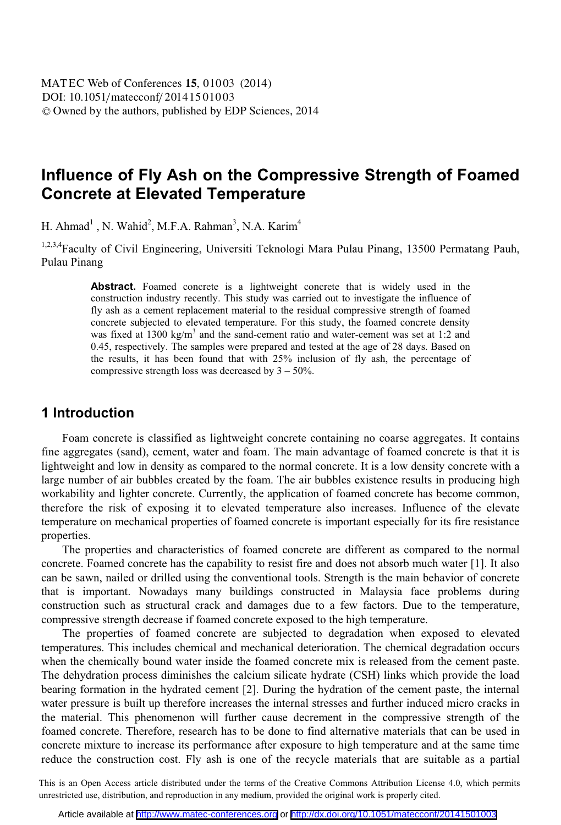# **Influence of Fly Ash on the Compressive Strength of Foamed Concrete at Elevated Temperature**

H. Ahmad<sup>1</sup>, N. Wahid<sup>2</sup>, M.F.A. Rahman<sup>3</sup>, N.A. Karim<sup>4</sup>

1,2,3,4Faculty of Civil Engineering, Universiti Teknologi Mara Pulau Pinang, 13500 Permatang Pauh, Pulau Pinang

> **Abstract.** Foamed concrete is a lightweight concrete that is widely used in the construction industry recently. This study was carried out to investigate the influence of fly ash as a cement replacement material to the residual compressive strength of foamed concrete subjected to elevated temperature. For this study, the foamed concrete density was fixed at 1300 kg/m<sup>3</sup> and the sand-cement ratio and water-cement was set at 1:2 and 0.45, respectively. The samples were prepared and tested at the age of 28 days. Based on the results, it has been found that with 25% inclusion of fly ash, the percentage of compressive strength loss was decreased by  $3 - 50\%$ .

## **1 Introduction**

Foam concrete is classified as lightweight concrete containing no coarse aggregates. It contains fine aggregates (sand), cement, water and foam. The main advantage of foamed concrete is that it is lightweight and low in density as compared to the normal concrete. It is a low density concrete with a large number of air bubbles created by the foam. The air bubbles existence results in producing high workability and lighter concrete. Currently, the application of foamed concrete has become common, therefore the risk of exposing it to elevated temperature also increases. Influence of the elevate temperature on mechanical properties of foamed concrete is important especially for its fire resistance properties.

The properties and characteristics of foamed concrete are different as compared to the normal concrete. Foamed concrete has the capability to resist fire and does not absorb much water [1]. It also can be sawn, nailed or drilled using the conventional tools. Strength is the main behavior of concrete that is important. Nowadays many buildings constructed in Malaysia face problems during construction such as structural crack and damages due to a few factors. Due to the temperature, compressive strength decrease if foamed concrete exposed to the high temperature.

The properties of foamed concrete are subjected to degradation when exposed to elevated temperatures. This includes chemical and mechanical deterioration. The chemical degradation occurs when the chemically bound water inside the foamed concrete mix is released from the cement paste. The dehydration process diminishes the calcium silicate hydrate (CSH) links which provide the load bearing formation in the hydrated cement [2]. During the hydration of the cement paste, the internal water pressure is built up therefore increases the internal stresses and further induced micro cracks in the material. This phenomenon will further cause decrement in the compressive strength of the foamed concrete. Therefore, research has to be done to find alternative materials that can be used in concrete mixture to increase its performance after exposure to high temperature and at the same time reduce the construction cost. Fly ash is one of the recycle materials that are suitable as a partial

This is an Open Access article distributed under the terms of the Creative Commons Attribution License 4.0, which permits unrestricted use, distribution, and reproduction in any medium, provided the original work is properly cited.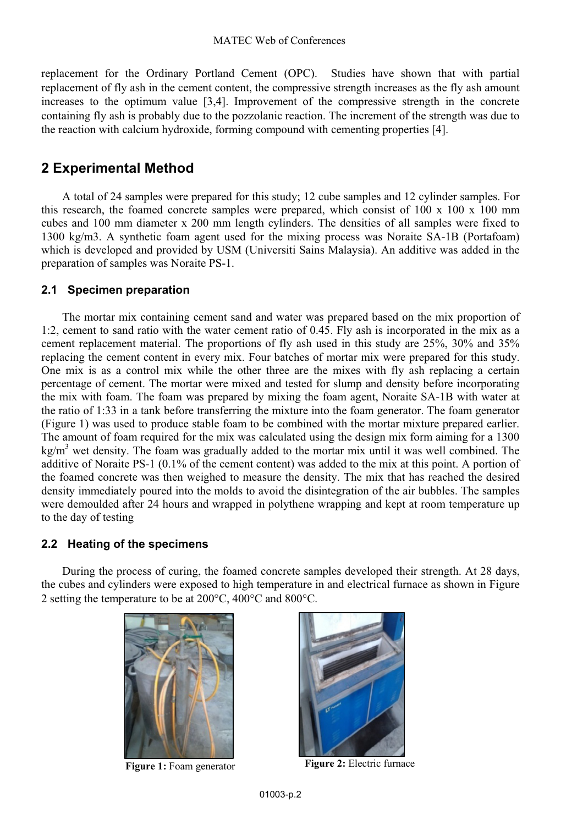replacement for the Ordinary Portland Cement (OPC). Studies have shown that with partial replacement of fly ash in the cement content, the compressive strength increases as the fly ash amount increases to the optimum value [3,4]. Improvement of the compressive strength in the concrete containing fly ash is probably due to the pozzolanic reaction. The increment of the strength was due to the reaction with calcium hydroxide, forming compound with cementing properties [4].

## **2 Experimental Method**

A total of 24 samples were prepared for this study; 12 cube samples and 12 cylinder samples. For this research, the foamed concrete samples were prepared, which consist of  $100 \times 100 \times 100$  mm cubes and 100 mm diameter x 200 mm length cylinders. The densities of all samples were fixed to 1300 kg/m3. A synthetic foam agent used for the mixing process was Noraite SA-1B (Portafoam) which is developed and provided by USM (Universiti Sains Malaysia). An additive was added in the preparation of samples was Noraite PS-1.

### **2.1 Specimen preparation**

The mortar mix containing cement sand and water was prepared based on the mix proportion of 1:2, cement to sand ratio with the water cement ratio of 0.45. Fly ash is incorporated in the mix as a cement replacement material. The proportions of fly ash used in this study are 25%, 30% and 35% replacing the cement content in every mix. Four batches of mortar mix were prepared for this study. One mix is as a control mix while the other three are the mixes with fly ash replacing a certain percentage of cement. The mortar were mixed and tested for slump and density before incorporating the mix with foam. The foam was prepared by mixing the foam agent, Noraite SA-1B with water at the ratio of 1:33 in a tank before transferring the mixture into the foam generator. The foam generator (Figure 1) was used to produce stable foam to be combined with the mortar mixture prepared earlier. The amount of foam required for the mix was calculated using the design mix form aiming for a 1300 kg/m<sup>3</sup> wet density. The foam was gradually added to the mortar mix until it was well combined. The additive of Noraite PS-1 (0.1% of the cement content) was added to the mix at this point. A portion of the foamed concrete was then weighed to measure the density. The mix that has reached the desired density immediately poured into the molds to avoid the disintegration of the air bubbles. The samples were demoulded after 24 hours and wrapped in polythene wrapping and kept at room temperature up to the day of testing

#### **2.2 Heating of the specimens**

During the process of curing, the foamed concrete samples developed their strength. At 28 days, the cubes and cylinders were exposed to high temperature in and electrical furnace as shown in Figure 2 setting the temperature to be at  $200^{\circ}$ C,  $400^{\circ}$ C and  $800^{\circ}$ C.





**Figure 1:** Foam generator **Figure 2:** Electric furnace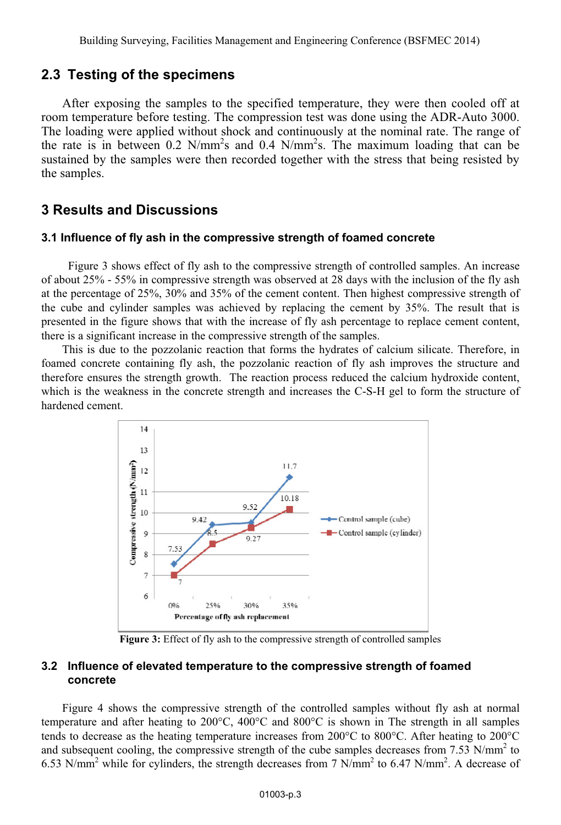### **2.3 Testing of the specimens**

After exposing the samples to the specified temperature, they were then cooled off at room temperature before testing. The compression test was done using the ADR-Auto 3000. The loading were applied without shock and continuously at the nominal rate. The range of the rate is in between 0.2  $N/mm^2$ s and 0.4  $N/mm^2$ s. The maximum loading that can be sustained by the samples were then recorded together with the stress that being resisted by the samples.

## **3 Results and Discussions**

#### **3.1 Influence of fly ash in the compressive strength of foamed concrete**

 Figure 3 shows effect of fly ash to the compressive strength of controlled samples. An increase of about 25% - 55% in compressive strength was observed at 28 days with the inclusion of the fly ash at the percentage of 25%, 30% and 35% of the cement content. Then highest compressive strength of the cube and cylinder samples was achieved by replacing the cement by 35%. The result that is presented in the figure shows that with the increase of fly ash percentage to replace cement content, there is a significant increase in the compressive strength of the samples.

This is due to the pozzolanic reaction that forms the hydrates of calcium silicate. Therefore, in foamed concrete containing fly ash, the pozzolanic reaction of fly ash improves the structure and therefore ensures the strength growth. The reaction process reduced the calcium hydroxide content, which is the weakness in the concrete strength and increases the C-S-H gel to form the structure of hardened cement.



**Figure 3:** Effect of fly ash to the compressive strength of controlled samples

#### **3.2 Influence of elevated temperature to the compressive strength of foamed concrete**

Figure 4 shows the compressive strength of the controlled samples without fly ash at normal temperature and after heating to 200°C, 400°C and 800°C is shown in The strength in all samples tends to decrease as the heating temperature increases from 200°C to 800°C. After heating to 200°C and subsequent cooling, the compressive strength of the cube samples decreases from 7.53 N/mm<sup>2</sup> to 6.53 N/mm<sup>2</sup> while for cylinders, the strength decreases from 7 N/mm<sup>2</sup> to 6.47 N/mm<sup>2</sup>. A decrease of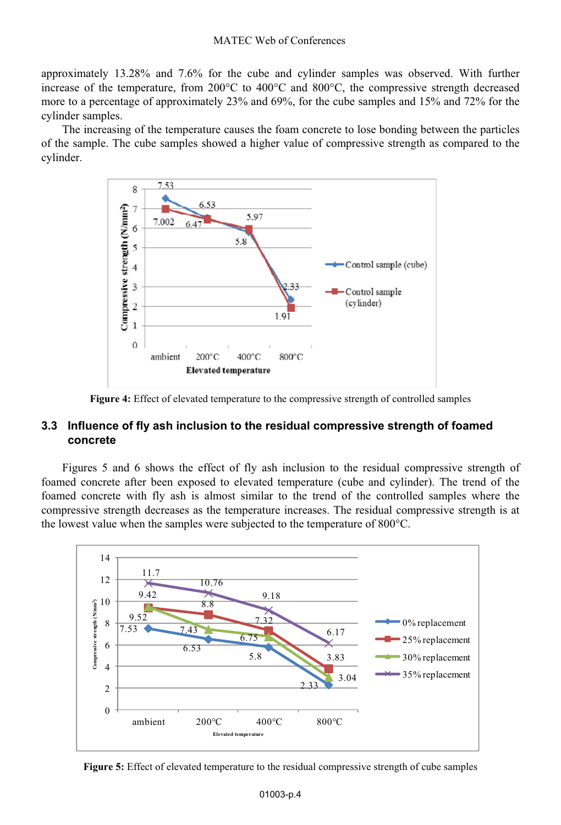#### MATEC Web of Conferences

approximately 13.28% and 7.6% for the cube and cylinder samples was observed. With further increase of the temperature, from 200°C to 400°C and 800°C, the compressive strength decreased more to a percentage of approximately 23% and 69%, for the cube samples and 15% and 72% for the cylinder samples.

The increasing of the temperature causes the foam concrete to lose bonding between the particles of the sample. The cube samples showed a higher value of compressive strength as compared to the cylinder.



**Figure 4:** Effect of elevated temperature to the compressive strength of controlled samples

#### **3.3 Influence of fly ash inclusion to the residual compressive strength of foamed concrete**

Figures 5 and 6 shows the effect of fly ash inclusion to the residual compressive strength of foamed concrete after been exposed to elevated temperature (cube and cylinder). The trend of the foamed concrete with fly ash is almost similar to the trend of the controlled samples where the compressive strength decreases as the temperature increases. The residual compressive strength is at the lowest value when the samples were subjected to the temperature of 800°C.



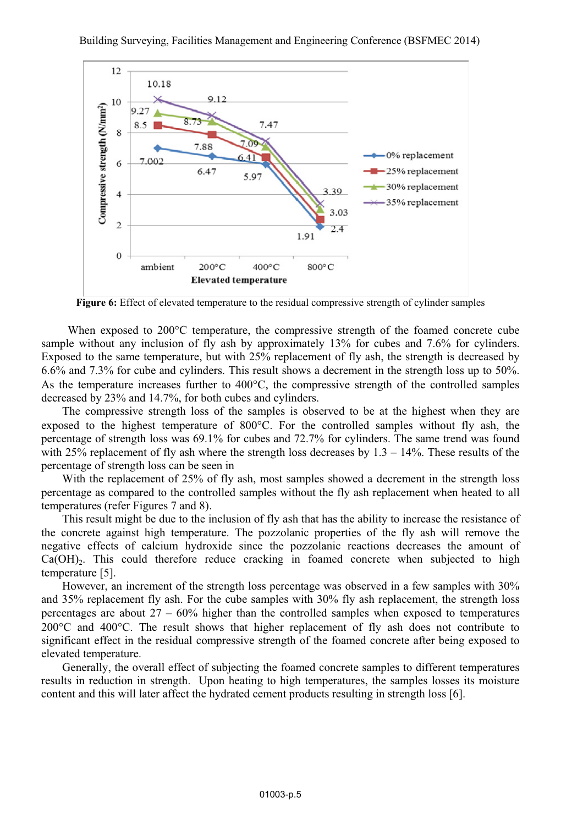

Figure 6: Effect of elevated temperature to the residual compressive strength of cylinder samples

When exposed to 200°C temperature, the compressive strength of the foamed concrete cube sample without any inclusion of fly ash by approximately 13% for cubes and 7.6% for cylinders. Exposed to the same temperature, but with 25% replacement of fly ash, the strength is decreased by 6.6% and 7.3% for cube and cylinders. This result shows a decrement in the strength loss up to 50%. As the temperature increases further to 400°C, the compressive strength of the controlled samples decreased by 23% and 14.7%, for both cubes and cylinders.

The compressive strength loss of the samples is observed to be at the highest when they are exposed to the highest temperature of 800°C. For the controlled samples without fly ash, the percentage of strength loss was 69.1% for cubes and 72.7% for cylinders. The same trend was found with 25% replacement of fly ash where the strength loss decreases by  $1.3 - 14%$ . These results of the percentage of strength loss can be seen in

With the replacement of 25% of fly ash, most samples showed a decrement in the strength loss percentage as compared to the controlled samples without the fly ash replacement when heated to all temperatures (refer Figures 7 and 8).

This result might be due to the inclusion of fly ash that has the ability to increase the resistance of the concrete against high temperature. The pozzolanic properties of the fly ash will remove the negative effects of calcium hydroxide since the pozzolanic reactions decreases the amount of Ca(OH)2. This could therefore reduce cracking in foamed concrete when subjected to high temperature [5].

However, an increment of the strength loss percentage was observed in a few samples with 30% and 35% replacement fly ash. For the cube samples with 30% fly ash replacement, the strength loss percentages are about  $27 - 60\%$  higher than the controlled samples when exposed to temperatures 200°C and 400°C. The result shows that higher replacement of fly ash does not contribute to significant effect in the residual compressive strength of the foamed concrete after being exposed to elevated temperature.

Generally, the overall effect of subjecting the foamed concrete samples to different temperatures results in reduction in strength. Upon heating to high temperatures, the samples losses its moisture content and this will later affect the hydrated cement products resulting in strength loss [6].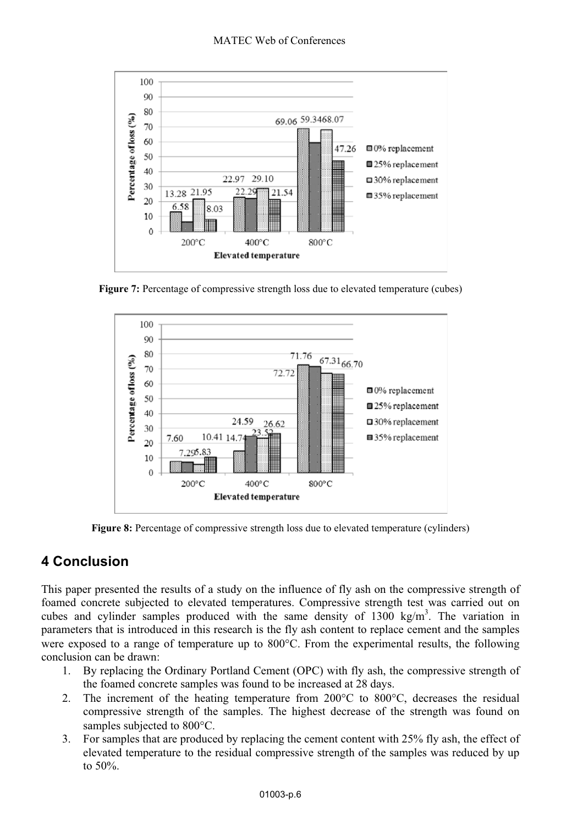

**Figure 7:** Percentage of compressive strength loss due to elevated temperature (cubes)



**Figure 8:** Percentage of compressive strength loss due to elevated temperature (cylinders)

# **4 Conclusion**

This paper presented the results of a study on the influence of fly ash on the compressive strength of foamed concrete subjected to elevated temperatures. Compressive strength test was carried out on cubes and cylinder samples produced with the same density of  $1300 \text{ kg/m}^3$ . The variation in parameters that is introduced in this research is the fly ash content to replace cement and the samples were exposed to a range of temperature up to 800°C. From the experimental results, the following conclusion can be drawn:

- 1. By replacing the Ordinary Portland Cement (OPC) with fly ash, the compressive strength of the foamed concrete samples was found to be increased at 28 days.
- 2. The increment of the heating temperature from  $200^{\circ}$ C to  $800^{\circ}$ C, decreases the residual compressive strength of the samples. The highest decrease of the strength was found on samples subjected to 800°C.
- 3. For samples that are produced by replacing the cement content with 25% fly ash, the effect of elevated temperature to the residual compressive strength of the samples was reduced by up to 50%.